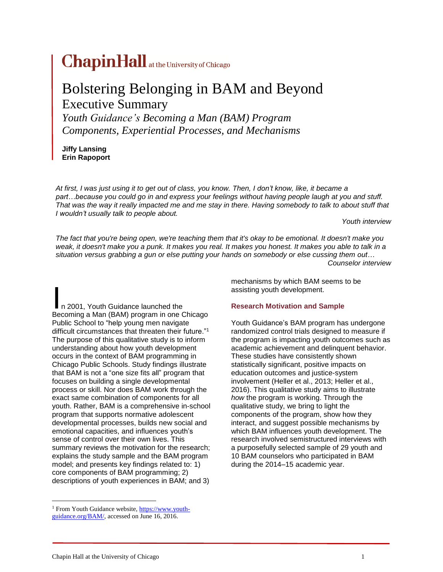# **at the University of Chicago**

# Bolstering Belonging in BAM and Beyond Executive Summary

*Youth Guidance's Becoming a Man (BAM) Program Components, Experiential Processes, and Mechanisms*

**Jiffy Lansing Erin Rapoport**

At first, I was just using it to get out of class, you know. Then, I don't know, like, it became a *part…because you could go in and express your feelings without having people laugh at you and stuff.* That was the way it really impacted me and me stay in there. Having somebody to talk to about stuff that *I wouldn't usually talk to people about.*

*Youth interview*

The fact that you're being open, we're teaching them that it's okay to be emotional. It doesn't make you weak, it doesn't make you a punk. It makes you real. It makes you honest. It makes you able to talk in a *situation versus grabbing a gun or else putting your hands on somebody or else cussing them out… Counselor interview*

n 2001, Youth Guidance launched the<br>Becoming a Man (BAM) program in ano ( Becoming a Man (BAM) program in one Chicago Public School to "help young men navigate difficult circumstances that threaten their future."<sup>1</sup> The purpose of this qualitative study is to inform understanding about how youth development occurs in the context of BAM programming in Chicago Public Schools. Study findings illustrate that BAM is not a "one size fits all" program that focuses on building a single developmental process or skill. Nor does BAM work through the exact same combination of components for all youth. Rather, BAM is a comprehensive in-school program that supports normative adolescent developmental processes, builds new social and emotional capacities, and influences youth's sense of control over their own lives. This summary reviews the motivation for the research; explains the study sample and the BAM program model; and presents key findings related to: 1) core components of BAM programming; 2) descriptions of youth experiences in BAM; and 3)

<sup>1</sup> From Youth Guidance website, [https://www.youth](https://www.youth-guidance.org/bam/)[guidance.org/BAM/,](https://www.youth-guidance.org/bam/) accessed on June 16, 2016.

mechanisms by which BAM seems to be assisting youth development.

#### **Research Motivation and Sample**

Youth Guidance's BAM program has undergone randomized control trials designed to measure if the program is impacting youth outcomes such as academic achievement and delinquent behavior. These studies have consistently shown statistically significant, positive impacts on education outcomes and justice-system involvement (Heller et al., 2013; Heller et al., 2016). This qualitative study aims to illustrate *how* the program is working. Through the qualitative study, we bring to light the components of the program, show how they interact, and suggest possible mechanisms by which BAM influences youth development. The research involved semistructured interviews with a purposefully selected sample of 29 youth and 10 BAM counselors who participated in BAM during the 2014–15 academic year.

 $\overline{a}$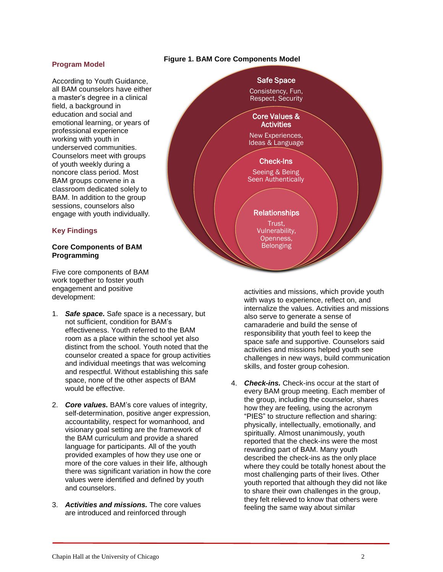#### **Program Model**

According to Youth Guidance, all BAM counselors have either a master's degree in a clinical field, a background in education and social and emotional learning, or years of professional experience working with youth in underserved communities. Counselors meet with groups of youth weekly during a noncore class period. Most BAM groups convene in a classroom dedicated solely to BAM. In addition to the group sessions, counselors also engage with youth individually.

#### **Key Findings**

#### **Core Components of BAM Programming**

Five core components of BAM work together to foster youth engagement and positive development:

- 1. *Safe space.* Safe space is a necessary, but not sufficient, condition for BAM's effectiveness. Youth referred to the BAM room as a place within the school yet also distinct from the school. Youth noted that the counselor created a space for group activities and individual meetings that was welcoming and respectful. Without establishing this safe space, none of the other aspects of BAM would be effective.
- 2. *Core values.* BAM's core values of integrity, self-determination, positive anger expression, accountability, respect for womanhood, and visionary goal setting are the framework of the BAM curriculum and provide a shared language for participants. All of the youth provided examples of how they use one or more of the core values in their life, although there was significant variation in how the core values were identified and defined by youth and counselors.
- 3. *Activities and missions.* The core values are introduced and reinforced through

#### **Figure 1. BAM Core Components Model**

Safe Space Consistency, Fun, Respect, Security Core Values & **Activities** New Experiences, Ideas & Language Check-Ins Seeing & Being Seen Authentically Relationships Trust, Vulnerability, Openness, **Belonging** 

> activities and missions, which provide youth with ways to experience, reflect on, and internalize the values. Activities and missions also serve to generate a sense of camaraderie and build the sense of responsibility that youth feel to keep the space safe and supportive. Counselors said activities and missions helped youth see challenges in new ways, build communication skills, and foster group cohesion.

4. *Check-ins.* Check-ins occur at the start of every BAM group meeting. Each member of the group, including the counselor, shares how they are feeling, using the acronym "PIES" to structure reflection and sharing: physically, intellectually, emotionally, and spiritually. Almost unanimously, youth reported that the check-ins were the most rewarding part of BAM. Many youth described the check-ins as the only place where they could be totally honest about the most challenging parts of their lives. Other youth reported that although they did not like to share their own challenges in the group, they felt relieved to know that others were feeling the same way about similar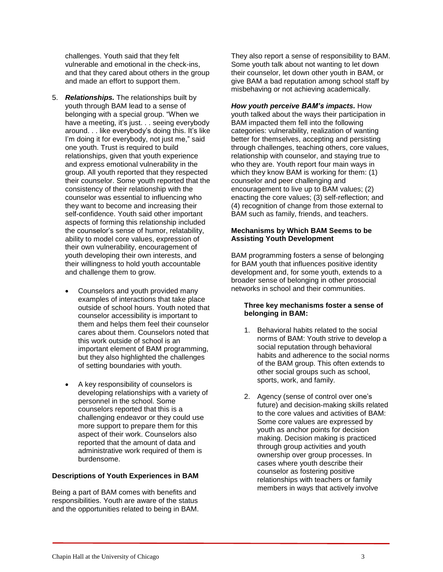challenges. Youth said that they felt vulnerable and emotional in the check-ins, and that they cared about others in the group and made an effort to support them.

- 5. *Relationships.* The relationships built by youth through BAM lead to a sense of belonging with a special group. "When we have a meeting, it's just. . . seeing everybody around. . . like everybody's doing this. It's like I'm doing it for everybody, not just me," said one youth. Trust is required to build relationships, given that youth experience and express emotional vulnerability in the group. All youth reported that they respected their counselor. Some youth reported that the consistency of their relationship with the counselor was essential to influencing who they want to become and increasing their self-confidence. Youth said other important aspects of forming this relationship included the counselor's sense of humor, relatability, ability to model core values, expression of their own vulnerability, encouragement of youth developing their own interests, and their willingness to hold youth accountable and challenge them to grow.
	- Counselors and youth provided many examples of interactions that take place outside of school hours. Youth noted that counselor accessibility is important to them and helps them feel their counselor cares about them. Counselors noted that this work outside of school is an important element of BAM programming, but they also highlighted the challenges of setting boundaries with youth.
	- A key responsibility of counselors is developing relationships with a variety of personnel in the school. Some counselors reported that this is a challenging endeavor or they could use more support to prepare them for this aspect of their work. Counselors also reported that the amount of data and administrative work required of them is burdensome.

#### **Descriptions of Youth Experiences in BAM**

Being a part of BAM comes with benefits and responsibilities. Youth are aware of the status and the opportunities related to being in BAM. They also report a sense of responsibility to BAM. Some youth talk about not wanting to let down their counselor, let down other youth in BAM, or give BAM a bad reputation among school staff by misbehaving or not achieving academically.

*How youth perceive BAM's impacts.* How youth talked about the ways their participation in BAM impacted them fell into the following categories: vulnerability, realization of wanting better for themselves, accepting and persisting through challenges, teaching others, core values, relationship with counselor, and staying true to who they are. Youth report four main ways in which they know BAM is working for them: (1) counselor and peer challenging and encouragement to live up to BAM values; (2) enacting the core values; (3) self-reflection; and (4) recognition of change from those external to BAM such as family, friends, and teachers.

#### **Mechanisms by Which BAM Seems to be Assisting Youth Development**

BAM programming fosters a sense of belonging for BAM youth that influences positive identity development and, for some youth, extends to a broader sense of belonging in other prosocial networks in school and their communities.

#### **Three key mechanisms foster a sense of belonging in BAM:**

- 1. Behavioral habits related to the social norms of BAM: Youth strive to develop a social reputation through behavioral habits and adherence to the social norms of the BAM group. This often extends to other social groups such as school, sports, work, and family.
- 2. Agency (sense of control over one's future) and decision-making skills related to the core values and activities of BAM: Some core values are expressed by youth as anchor points for decision making. Decision making is practiced through group activities and youth ownership over group processes. In cases where youth describe their counselor as fostering positive relationships with teachers or family members in ways that actively involve